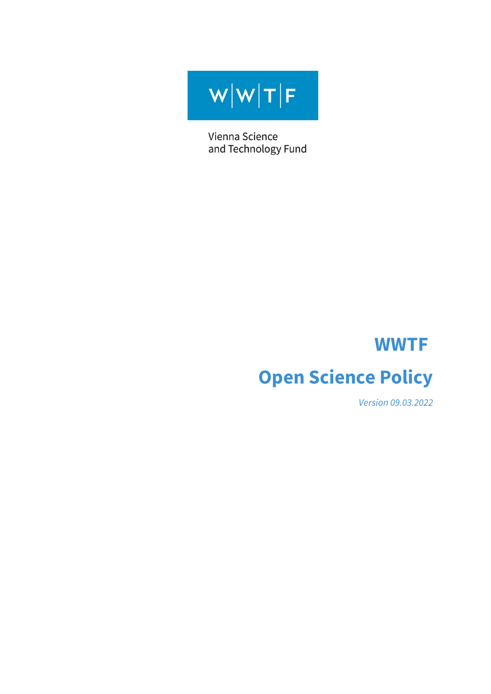$W[W|T|F$ 

Vienna Science and Technology Fund

# **WWTF Open Science Policy**

*Version 09.03.2022*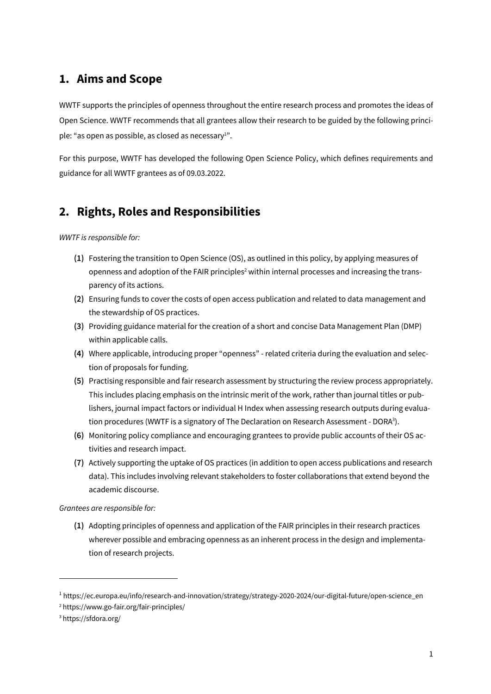## **1. Aims and Scope**

WWTF supports the principles of openness throughout the entire research process and promotes the ideas of Open Science. WWTF recommends that all grantees allow their research to be guided by the following principle: "as open as possible, as closed as necessary<sup>1</sup>".

For this purpose, WWTF has developed the following Open Science Policy, which defines requirements and guidance for all WWTF grantees as of 09.03.2022.

## **2. Rights, Roles and Responsibilities**

*WWTF is responsible for:*

- **(1)** Fostering the transition to Open Science (OS), as outlined in this policy, by applying measures of openness and adoption of the FAIR principles<sup>2</sup> within internal processes and increasing the transparency of its actions.
- **(2)** Ensuring funds to cover the costs of open access publication and related to data management and the stewardship of OS practices.
- **(3)** Providing guidance material for the creation of a short and concise Data Management Plan (DMP) within applicable calls.
- **(4)** Where applicable, introducing proper "openness" related criteria during the evaluation and selection of proposals for funding.
- **(5)** Practising responsible and fair research assessment by structuring the review process appropriately. This includes placing emphasis on the intrinsic merit of the work, rather than journal titles or publishers, journal impact factors or individual H Index when assessing research outputs during evaluation procedures (WWTF is a signatory of The Declaration on Research Assessment - DORA3 ).
- **(6)** Monitoring policy compliance and encouraging grantees to provide public accounts of their OS activities and research impact.
- **(7)** Actively supporting the uptake of OS practices (in addition to open access publications and research data). This includes involving relevant stakeholders to foster collaborations that extend beyond the academic discourse.

*Grantees are responsible for:*

**(1)** Adopting principles of openness and application of the FAIR principles in their research practices wherever possible and embracing openness as an inherent process in the design and implementation of research projects.

<sup>1</sup> https://ec.europa.eu/info/research-and-innovation/strategy/strategy-2020-2024/our-digital-future/open-science\_en

<sup>2</sup> https://www.go-fair.org/fair-principles/

<sup>3</sup> https://sfdora.org/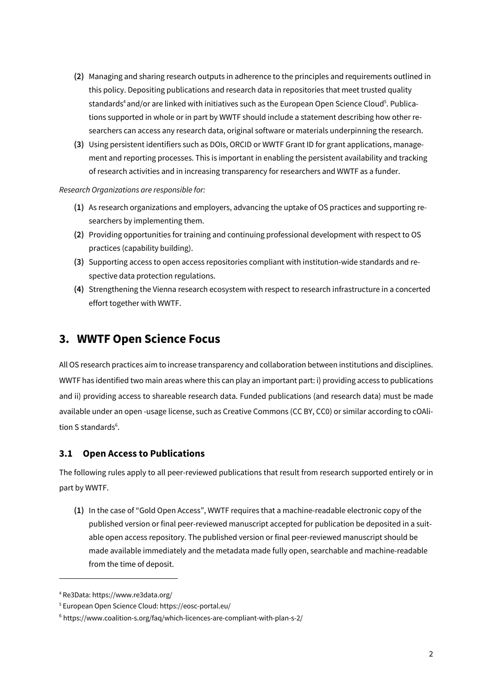- **(2)** Managing and sharing research outputs in adherence to the principles and requirements outlined in this policy. Depositing publications and research data in repositories that meet trusted quality standards<sup>4</sup> and/or are linked with initiatives such as the European Open Science Cloud<sup>5</sup>. Publications supported in whole or in part by WWTF should include a statement describing how other researchers can access any research data, original software or materials underpinning the research.
- **(3)** Using persistent identifiers such as DOIs, ORCID or WWTF Grant ID for grant applications, management and reporting processes. This is important in enabling the persistent availability and tracking of research activities and in increasing transparency for researchers and WWTF as a funder.

*Research Organizations are responsible for:*

- **(1)** As research organizations and employers, advancing the uptake of OS practices and supporting researchers by implementing them.
- **(2)** Providing opportunities for training and continuing professional development with respect to OS practices (capability building).
- **(3)** Supporting access to open access repositories compliant with institution-wide standards and respective data protection regulations.
- **(4)** Strengthening the Vienna research ecosystem with respect to research infrastructure in a concerted effort together with WWTF.

## **3. WWTF Open Science Focus**

All OS research practices aim to increase transparency and collaboration between institutions and disciplines. WWTF has identified two main areas where this can play an important part: i) providing access to publications and ii) providing access to shareable research data. Funded publications (and research data) must be made available under an open -usage license, such as Creative Commons (CC BY, CC0) or similar according to cOAlition S standards<sup>6</sup>.

#### **3.1 Open Access to Publications**

The following rules apply to all peer-reviewed publications that result from research supported entirely or in part by WWTF.

**(1)** In the case of "Gold Open Access", WWTF requires that a machine-readable electronic copy of the published version or final peer-reviewed manuscript accepted for publication be deposited in a suitable open access repository. The published version or final peer-reviewed manuscript should be made available immediately and the metadata made fully open, searchable and machine-readable from the time of deposit.

<sup>4</sup> Re3Data: https://www.re3data.org/

<sup>5</sup> European Open Science Cloud: https://eosc-portal.eu/

<sup>6</sup> https://www.coalition-s.org/faq/which-licences-are-compliant-with-plan-s-2/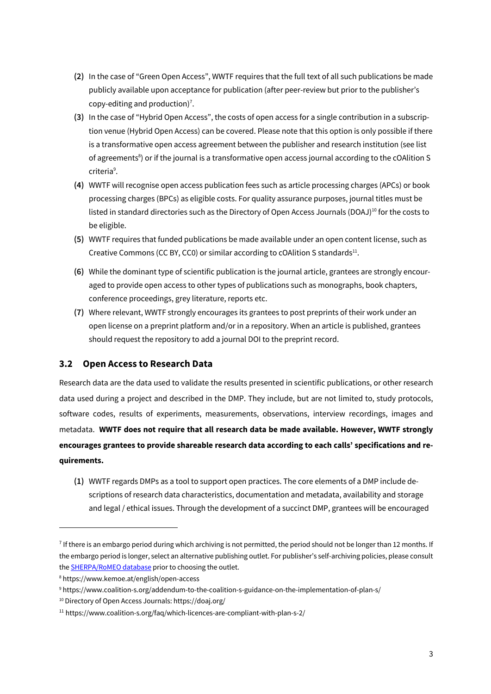- **(2)** In the case of "Green Open Access", WWTF requires that the full text of all such publications be made publicly available upon acceptance for publication (after peer-review but prior to the publisher's copy-editing and production)<sup>7</sup>.
- **(3)** In the case of "Hybrid Open Access", the costs of open access for a single contribution in a subscription venue (Hybrid Open Access) can be covered. Please note that this option is only possible if there is a transformative open access agreement between the publisher and research institution (see list of agreements<sup>8</sup>) or if the journal is a transformative open access journal according to the cOAlition S criteria<sup>9</sup>.
- **(4)** WWTF will recognise open access publication fees such as article processing charges (APCs) or book processing charges (BPCs) as eligible costs. For quality assurance purposes, journal titles must be listed in standard directories such as the Directory of Open Access Journals (DOAJ)<sup>10</sup> for the costs to be eligible.
- **(5)** WWTF requires that funded publications be made available under an open content license, such as Creative Commons (CC BY, CC0) or similar according to cOAlition S standards $^{11}$ .
- **(6)** While the dominant type of scientific publication is the journal article, grantees are strongly encouraged to provide open access to other types of publications such as monographs, book chapters, conference proceedings, grey literature, reports etc.
- **(7)** Where relevant, WWTF strongly encourages its grantees to post preprints of their work under an open license on a preprint platform and/or in a repository. When an article is published, grantees should request the repository to add a journal DOI to the preprint record.

#### **3.2 Open Access to Research Data**

Research data are the data used to validate the results presented in scientific publications, or other research data used during a project and described in the DMP. They include, but are not limited to, study protocols, software codes, results of experiments, measurements, observations, interview recordings, images and metadata. **WWTF does not require that all research data be made available. However, WWTF strongly encourages grantees to provide shareable research data according to each calls' specifications and requirements.**

**(1)** WWTF regards DMPs as a tool to support open practices. The core elements of a DMP include descriptions of research data characteristics, documentation and metadata, availability and storage and legal / ethical issues. Through the development of a succinct DMP, grantees will be encouraged

 $^7$  If there is an embargo period during which archiving is not permitted, the period should not be longer than 12 months. If the embargo period is longer, select an alternative publishing outlet. For publisher's self-archiving policies, please consult the **SHERPA/RoMEO** database prior to choosing the outlet.

<sup>8</sup> https://www.kemoe.at/english/open-access

<sup>9</sup> https://www.coalition-s.org/addendum-to-the-coalition-s-guidance-on-the-implementation-of-plan-s/

<sup>10</sup> Directory of Open Access Journals: https://doaj.org/

 $11$  https://www.coalition-s.org/faq/which-licences-are-compliant-with-plan-s-2/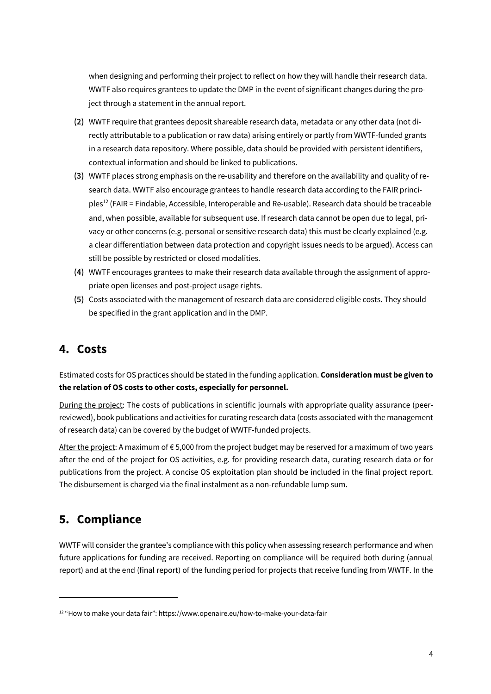when designing and performing their project to reflect on how they will handle their research data. WWTF also requires grantees to update the DMP in the event of significant changes during the project through a statement in the annual report.

- **(2)** WWTF require that grantees deposit shareable research data, metadata or any other data (not directly attributable to a publication or raw data) arising entirely or partly from WWTF-funded grants in a research data repository. Where possible, data should be provided with persistent identifiers, contextual information and should be linked to publications.
- **(3)** WWTF places strong emphasis on the re-usability and therefore on the availability and quality of research data. WWTF also encourage grantees to handle research data according to the FAIR principles12 (FAIR = Findable, Accessible, Interoperable and Re-usable). Research data should be traceable and, when possible, available for subsequent use. If research data cannot be open due to legal, privacy or other concerns (e.g. personal or sensitive research data) this must be clearly explained (e.g. a clear differentiation between data protection and copyright issues needs to be argued). Access can still be possible by restricted or closed modalities.
- **(4)** WWTF encourages grantees to make their research data available through the assignment of appropriate open licenses and post-project usage rights.
- **(5)** Costs associated with the management of research data are considered eligible costs. They should be specified in the grant application and in the DMP.

## **4. Costs**

Estimated costs for OS practices should be stated in the funding application. **Consideration must be given to the relation of OS costs to other costs, especially for personnel.**

During the project: The costs of publications in scientific journals with appropriate quality assurance (peerreviewed), book publications and activities for curating research data (costs associated with the management of research data) can be covered by the budget of WWTF-funded projects.

After the project: A maximum of € 5,000 from the project budget may be reserved for a maximum of two years after the end of the project for OS activities, e.g. for providing research data, curating research data or for publications from the project. A concise OS exploitation plan should be included in the final project report. The disbursement is charged via the final instalment as a non-refundable lump sum.

## **5. Compliance**

WWTF will consider the grantee's compliance with this policy when assessing research performance and when future applications for funding are received. Reporting on compliance will be required both during (annual report) and at the end (final report) of the funding period for projects that receive funding from WWTF. In the

<sup>12</sup> "How to make your data fair": https://www.openaire.eu/how-to-make-your-data-fair